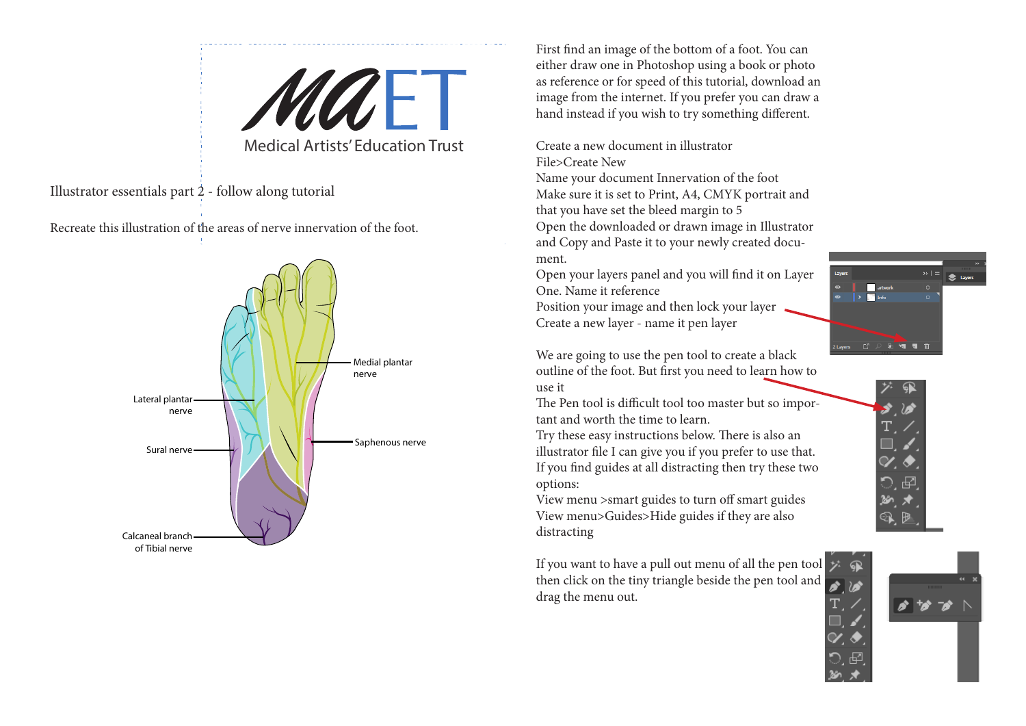MULE Medical Artists' Education Trust

Illustrator essentials part 2 - follow along tutorial

Recreate this illustration of the areas of nerve innervation of the foot.



First find an image of the bottom of a foot. You can either draw one in Photoshop using a book or photo as reference or for speed of this tutorial, download an image from the internet. If you prefer you can draw a hand instead if you wish to try something different.

Create a new document in illustrator File>Create New

Name your document Innervation of the foot Make sure it is set to Print, A4, CMYK portrait and that you have set the bleed margin to 5 Open the downloaded or drawn image in Illustrator and Copy and Paste it to your newly created document.

Open your layers panel and you will find it on Layer One. Name it reference

Position your image and then lock your layer Create a new layer - name it pen layer

We are going to use the pen tool to create a black outline of the foot. But first you need to learn how to use it

The Pen tool is difficult tool too master but so important and worth the time to learn.

Try these easy instructions below. There is also an illustrator file I can give you if you prefer to use that. If you find guides at all distracting then try these two options:

View menu >smart guides to turn off smart guides View menu>Guides>Hide guides if they are also distracting

If you want to have a pull out menu of all the pen tool then click on the tiny triangle beside the pen tool and drag the menu out.





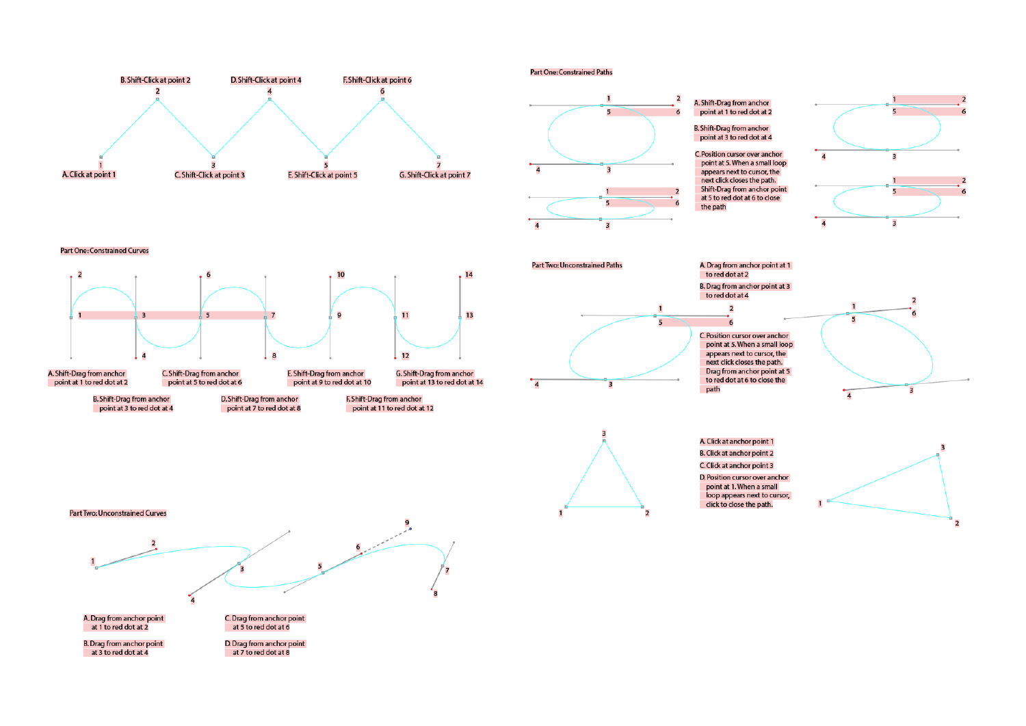

## **Part One: Constrained Paths**







## **Part One: Constrained Curves**



point at 3 to red dot at 4

point at 7 to red dot at 8



point at 11 to red dot at 12









A. Click at anchor point 1 **B.** Click at anchor point 2 C. Click at anchor point 3 D. Position cursor over anchor point at 1. When a small loop appears next to cursor, click to close the path.



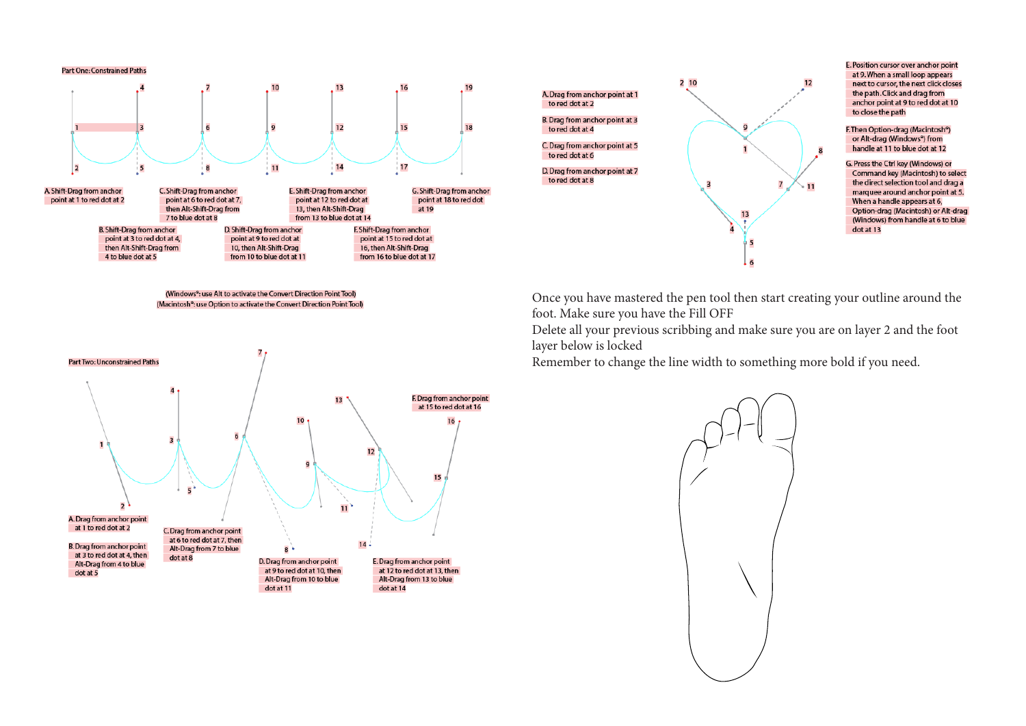## **Part One: Constrained Paths**



(Windows<sup>®</sup>: use Alt to activate the Convert Direction Point Tool) (Macintosh<sup>®</sup>: use Option to activate the Convert Direction Point Tool)





E. Position cursor over anchor point at 9. When a small loop appears next to cursor, the next click closes the path. Click and drag from anchor point at 9 to red dot at 10 to close the path

F. Then Option-drag (Macintosh<sup>®</sup>) or Alt-drag (Windows<sup>e</sup>) from handle at 11 to blue dot at 12

G. Press the Ctrl key (Windows) or Command key (Macintosh) to select the direct selection tool and drag a marquee around anchor point at 5. When a handle appears at 6, Option-drag (Macintosh) or Alt-drag (Windows) from handle at 6 to blue

Once you have mastered the pen tool then start creating your outline around the foot. Make sure you have the Fill OFF

Delete all your previous scribbing and make sure you are on layer 2 and the foot layer below is locked

Remember to change the line width to something more bold if you need.

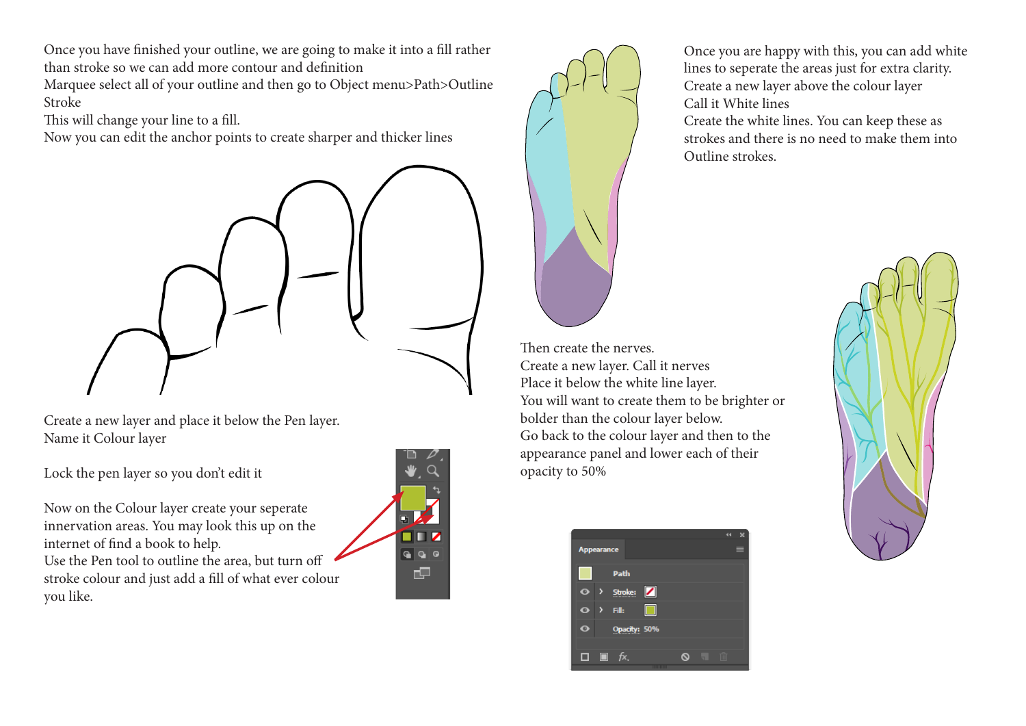Once you have finished your outline, we are going to make it into a fill rather than stroke so we can add more contour and definition

Marquee select all of your outline and then go to Object menu>Path>Outline Stroke

This will change your line to a fill.

Now you can edit the anchor points to create sharper and thicker lines



Create a new layer and place it below the Pen layer. Name it Colour layer

Lock the pen layer so you don't edit it

Now on the Colour layer create your seperate innervation areas. You may look this up on the internet of find a book to help.

Use the Pen tool to outline the area, but turn off stroke colour and just add a fill of what ever colour you like.





Once you are happy with this, you can add white lines to seperate the areas just for extra clarity. Create a new layer above the colour layer Call it White lines

Create the white lines. You can keep these as strokes and there is no need to make them into Outline strokes.

Then create the nerves. Create a new layer. Call it nerves Place it below the white line layer. You will want to create them to be brighter or bolder than the colour layer below. Go back to the colour layer and then to the appearance panel and lower each of their opacity to 50%